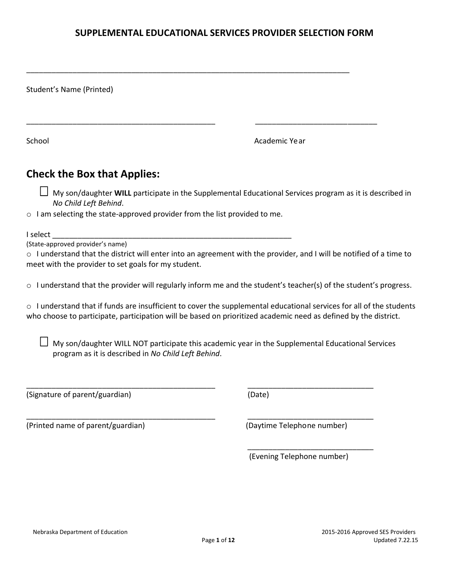# **SUPPLEMENTAL EDUCATIONAL SERVICES PROVIDER SELECTION FORM**

\_\_\_\_\_\_\_\_\_\_\_\_\_\_\_\_\_\_\_\_\_\_\_\_\_\_\_\_\_\_\_\_\_\_\_\_\_\_\_\_\_\_\_\_\_\_\_\_\_\_\_\_\_\_\_\_\_\_\_\_\_\_\_\_\_\_\_\_\_\_\_\_\_\_\_\_\_

| Student's Name (Printed)                                                                                                                                                                                                          |               |
|-----------------------------------------------------------------------------------------------------------------------------------------------------------------------------------------------------------------------------------|---------------|
| School                                                                                                                                                                                                                            | Academic Year |
| <b>Check the Box that Applies:</b>                                                                                                                                                                                                |               |
| My son/daughter WILL participate in the Supplemental Educational Services program as it is described in<br>No Child Left Behind.                                                                                                  |               |
| $\circ$ I am selecting the state-approved provider from the list provided to me.                                                                                                                                                  |               |
| I select<br>(State-approved provider's name)<br>$\circ$ I understand that the district will enter into an agreement with the provider, and I will be notified of a time to<br>meet with the provider to set goals for my student. |               |
| $\circ$ I understand that the provider will regularly inform me and the student's teacher(s) of the student's progress.                                                                                                           |               |

o I understand that if funds are insufficient to cover the supplemental educational services for all of the students who choose to participate, participation will be based on prioritized academic need as defined by the district.

 $\Box$  My son/daughter WILL NOT participate this academic year in the Supplemental Educational Services program as it is described in *No Child Left Behind*.

\_\_\_\_\_\_\_\_\_\_\_\_\_\_\_\_\_\_\_\_\_\_\_\_\_\_\_\_\_\_\_\_\_\_\_\_\_\_\_\_\_\_\_\_\_ \_\_\_\_\_\_\_\_\_\_\_\_\_\_\_\_\_\_\_\_\_\_\_\_\_\_\_\_\_\_

\_\_\_\_\_\_\_\_\_\_\_\_\_\_\_\_\_\_\_\_\_\_\_\_\_\_\_\_\_\_\_\_\_\_\_\_\_\_\_\_\_\_\_\_\_ \_\_\_\_\_\_\_\_\_\_\_\_\_\_\_\_\_\_\_\_\_\_\_\_\_\_\_\_\_\_

 $\overline{\phantom{a}}$  , and the contract of the contract of the contract of the contract of the contract of the contract of the contract of the contract of the contract of the contract of the contract of the contract of the contrac

(Signature of parent/guardian) (Date)

(Printed name of parent/guardian) (Daytime Telephone number)

(Evening Telephone number)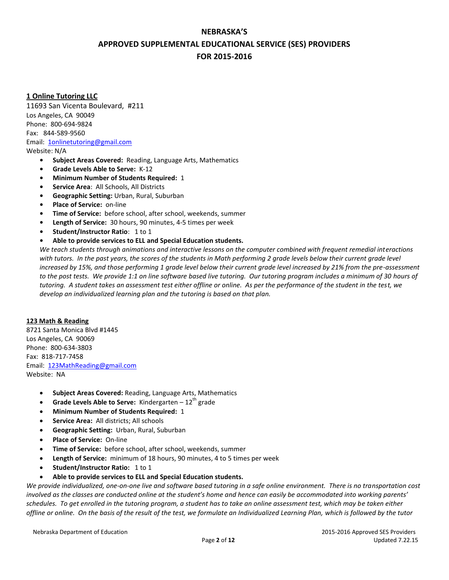# **NEBRASKA'S APPROVED SUPPLEMENTAL EDUCATIONAL SERVICE (SES) PROVIDERS FOR 2015-2016**

# **1 Online Tutoring LLC**

11693 San Vicenta Boulevard, #211 Los Angeles, CA 90049 Phone:800-694-9824 Fax:844-589-9560 Email: [1onlinetutoring@gmail.com](file:///C:/Users/rmcintyre/AppData/Local/Microsoft/Windows/Temporary%20Internet%20Files/Content.Outlook/0BPTWOXE/1onlinetutoring@gmail.com) Website: N/A

- **• Subject Areas Covered:** Reading, Language Arts, Mathematics
- **• Grade Levels Able to Serve:** K-12
- **• Minimum Number of Students Required:** 1
- **• Service Area**: All Schools, All Districts
- **• Geographic Setting:** Urban, Rural, Suburban
- **• Place of Service:** on-line
- **• Time of Service:** before school, after school, weekends, summer
- **• Length of Service:** 30 hours, 90 minutes, 4-5 times per week
- **• Student/Instructor Ratio**: 1 to 1
- **• Able to provide services to ELL and Special Education students.**

*We teach students through animations and interactive lessons on the computer combined with frequent remedial interactions with tutors. In the past years, the scores of the students in Math performing 2 grade levels below their current grade level increased by 15%, and those performing 1 grade level below their current grade level increased by 21% from the pre-assessment*  to the post tests. We provide 1:1 on line software based live tutoring. Our tutoring program includes a minimum of 30 hours of *tutoring. A student takes an assessment test either offline or online. As per the performance of the student in the test, we develop an individualized learning plan and the tutoring is based on that plan.* 

## **123 Math & Reading**

8721 Santa Monica Blvd #1445 Los Angeles, CA 90069 Phone: 800-634-3803 Fax: 818-717-7458 Email: [123MathReading@gmail.com](file:///C:/Users/rmcintyre/AppData/Local/Microsoft/Windows/Temporary%20Internet%20Files/Content.Outlook/0BPTWOXE/123MathReading@gmail.com) Website: NA

- **Subject Areas Covered:** Reading, Language Arts, Mathematics
- **Grade Levels Able to Serve:** Kindergarten  $-12^{th}$  grade
- **Minimum Number of Students Required:** 1
- **Service Area:** All districts; All schools
- **Geographic Setting:** Urban, Rural, Suburban
- **Place of Service:** On-line
- **Time of Service:** before school, after school, weekends, summer
- **Length of Service:** minimum of 18 hours, 90 minutes, 4 to 5 times per week
- **Student/Instructor Ratio:** 1 to 1
- **Able to provide services to ELL and Special Education students.**

*We provide individualized, one-on-one live and software based tutoring in a safe online environment. There is no transportation cost involved as the classes are conducted online at the student's home and hence can easily be accommodated into working parents' schedules. To get enrolled in the tutoring program, a student has to take an online assessment test, which may be taken either offline or online. On the basis of the result of the test, we formulate an Individualized Learning Plan, which is followed by the tutor*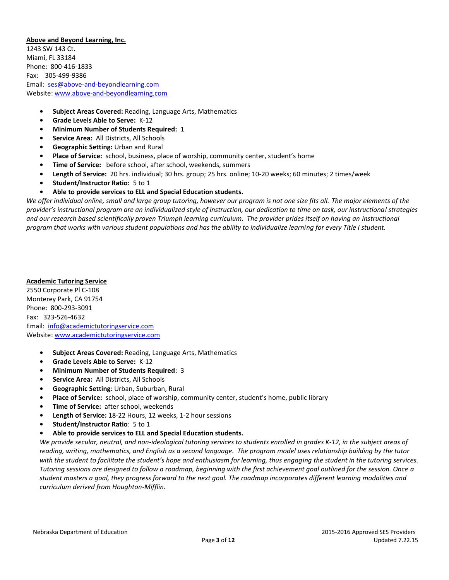## **Above and Beyond Learning, Inc.**

1243 SW 143 Ct. Miami, FL 33184 Phone:800-416-1833 Fax:305-499-9386 Email: [ses@above-and-beyondlearning.com](mailto:ses@above-and-beyondlearning.com) Website: [www.above-and-beyondlearning.com](file:///C:/Users/rmcintyre/AppData/Local/Microsoft/Windows/Temporary%20Internet%20Files/Content.Outlook/0BPTWOXE/www.above-and-beyondlearning.com)

- **• Subject Areas Covered:** Reading, Language Arts, Mathematics
- **• Grade Levels Able to Serve:** K-12
- **• Minimum Number of Students Required:** 1
- **• Service Area:** All Districts, All Schools
- **• Geographic Setting:** Urban and Rural
- **• Place of Service:** school, business, place of worship, community center, student's home
- **• Time of Service:** before school, after school, weekends, summers
- **• Length of Service:** 20 hrs. individual; 30 hrs. group; 25 hrs. online; 10-20 weeks; 60 minutes; 2 times/week
- **• Student/Instructor Ratio:** 5 to 1
- **• Able to provide services to ELL and Special Education students.**

*We offer individual online, small and large group tutoring, however our program is not one size fits all. The major elements of the provider's instructional program are an individualized style of instruction, our dedication to time on task, our instructional strategies and our research based scientifically proven Triumph learning curriculum. The provider prides itself on having an instructional program that works with various student populations and has the ability to individualize learning for every Title I student.* 

## **Academic Tutoring Service**

2550 Corporate Pl C-108 Monterey Park, CA 91754 Phone: 800-293-3091 Fax:323-526-4632 Email:[info@academictutoringservice.com](file:///C:/Users/rmcintyre/AppData/Local/Microsoft/Windows/Temporary%20Internet%20Files/Content.Outlook/0BPTWOXE/info@academictutoringservice.com) Website: [www.academictutoringservice.com](file:///C:/Users/rmcintyre/AppData/Local/Microsoft/Windows/Temporary%20Internet%20Files/Content.Outlook/0BPTWOXE/www.academictutoringservice.com)

- **• Subject Areas Covered:** Reading, Language Arts, Mathematics
- **• Grade Levels Able to Serve:** K-12
- **• Minimum Number of Students Required**: 3
- **• Service Area:** All Districts, All Schools
- **• Geographic Setting**: Urban, Suburban, Rural
- **• Place of Service:** school, place of worship, community center, student's home, public library
- **• Time of Service:** after school, weekends
- **• Length of Service:** 18-22 Hours, 12 weeks, 1-2 hour sessions
- **• Student/Instructor Ratio**: 5 to 1
- **• Able to provide services to ELL and Special Education students.**

*We provide secular, neutral, and non-ideological tutoring services to students enrolled in grades K-12, in the subject areas of reading, writing, mathematics, and English as a second language. The program model uses relationship building by the tutor with the student to facilitate the student's hope and enthusiasm for learning, thus engaging the student in the tutoring services. Tutoring sessions are designed to follow a roadmap, beginning with the first achievement goal outlined for the session. Once a student masters a goal, they progress forward to the next goal. The roadmap incorporates different learning modalities and curriculum derived from Houghton-Mifflin.*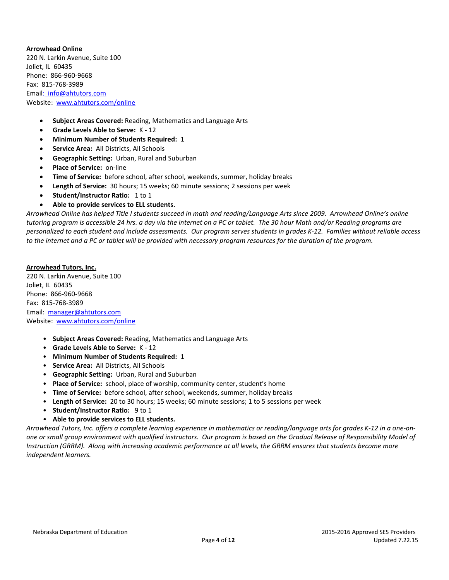**Arrowhead Online** 220 N. Larkin Avenue, Suite 100 Joliet, IL 60435 Phone: 866-960-9668 Fax: 815-768-3989 Emai[l: info@ahtutors.com](file:///C:/Users/rmcintyre/AppData/Local/Microsoft/Windows/Temporary%20Internet%20Files/Content.Outlook/0BPTWOXE/:%20%20info@ahtutors.com) Website: [www.ahtutors.com/online](file:///C:/Users/rmcintyre/AppData/Local/Microsoft/Windows/Temporary%20Internet%20Files/Content.Outlook/0BPTWOXE/www.ahtutors.com/online)

- **Subject Areas Covered:** Reading, Mathematics and Language Arts
- **Grade Levels Able to Serve:** K 12
- **Minimum Number of Students Required:** 1
- **Service Area:** All Districts, All Schools
- **Geographic Setting:** Urban, Rural and Suburban
- **Place of Service:** on-line
- **Time of Service:** before school, after school, weekends, summer, holiday breaks
- **Length of Service:** 30 hours; 15 weeks; 60 minute sessions; 2 sessions per week
- **Student/Instructor Ratio:** 1 to 1
- **Able to provide services to ELL students.**

*Arrowhead Online has helped Title I students succeed in math and reading/Language Arts since 2009. Arrowhead Online's online tutoring program is accessible 24 hrs. a day via the internet on a PC or tablet. The 30 hour Math and/or Reading programs are personalized to each student and include assessments. Our program serves students in grades K-12. Families without reliable access to the internet and a PC or tablet will be provided with necessary program resources for the duration of the program.*

**Arrowhead Tutors, Inc.** 220 N. Larkin Avenue, Suite 100 Joliet, IL 60435 Phone: 866-960-9668 Fax: 815-768-3989 Email: [manager@ahtutors.com](file:///C:/Users/rmcintyre/AppData/Local/Microsoft/Windows/Temporary%20Internet%20Files/Content.Outlook/0BPTWOXE/manager@ahtutors.com) Website: [www.ahtutors.com/online](file:///C:/Users/rmcintyre/AppData/Local/Microsoft/Windows/Temporary%20Internet%20Files/Content.Outlook/0BPTWOXE/www.ahtutors.com/online)

- **Subject Areas Covered:** Reading, Mathematics and Language Arts
- **Grade Levels Able to Serve:** K 12
- **Minimum Number of Students Required:** 1
- **Service Area:** All Districts, All Schools
- **Geographic Setting:** Urban, Rural and Suburban
- **Place of Service:** school, place of worship, community center, student's home
- **Time of Service:** before school, after school, weekends, summer, holiday breaks
- **Length of Service:** 20 to 30 hours; 15 weeks; 60 minute sessions; 1 to 5 sessions per week
- **Student/Instructor Ratio:** 9 to 1
- **Able to provide services to ELL students.**

*Arrowhead Tutors, Inc. offers a complete learning experience in mathematics or reading/language arts for grades K-12 in a one-onone or small group environment with qualified instructors. Our program is based on the Gradual Release of Responsibility Model of Instruction (GRRM). Along with increasing academic performance at all levels, the GRRM ensures that students become more independent learners.*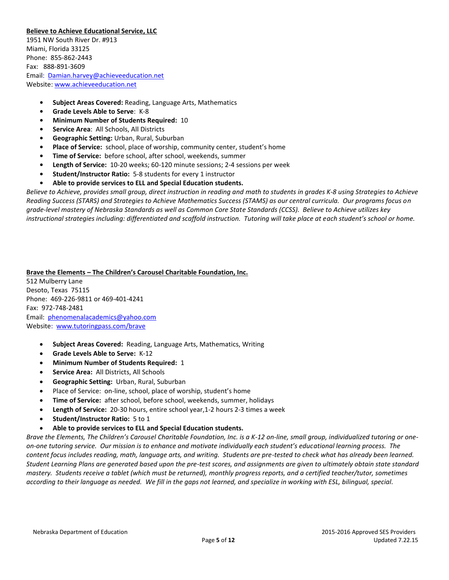## **Believe to Achieve Educational Service, LLC**

1951 NW South River Dr. #913 Miami, Florida 33125 Phone:855-862-2443 Fax:888-891-3609 Email:[Damian.harvey@achieveeducation.net](file:///C:/Users/rmcintyre/AppData/Local/Microsoft/Windows/Temporary%20Internet%20Files/Content.Outlook/0BPTWOXE/:%20%20Damian.harvey@achieveeducation.net) Website: [www.achieveeducation.net](http://www.achieveeducation.net/)

- **• Subject Areas Covered:** Reading, Language Arts, Mathematics
- **• Grade Levels Able to Serve**: K-8
- **• Minimum Number of Students Required:** 10
- **• Service Area**: All Schools, All Districts
- **• Geographic Setting:** Urban, Rural, Suburban
- **• Place of Service:** school, place of worship, community center, student's home
- **• Time of Service:** before school, after school, weekends, summer
- **• Length of Service:** 10-20 weeks; 60-120 minute sessions; 2-4 sessions per week
- **• Student/Instructor Ratio:** 5-8 students for every 1 instructor
- **• Able to provide services to ELL and Special Education students.**

*Believe to Achieve, provides small group, direct instruction in reading and math to students in grades K-8 using Strategies to Achieve Reading Success (STARS) and Strategies to Achieve Mathematics Success (STAMS) as our central curricula. Our programs focus on grade-level mastery of Nebraska Standards as well as Common Core State Standards (CCSS). Believe to Achieve utilizes key instructional strategies including: differentiated and scaffold instruction. Tutoring will take place at each student's school or home.* 

**Brave the Elements – The Children's Carousel Charitable Foundation, Inc.** 512 Mulberry Lane Desoto, Texas 75115 Phone: 469-226-9811 or 469-401-4241 Fax: 972-748-2481 Email: [phenomenalacademics@yahoo.com](file:///C:/Users/rmcintyre/AppData/Local/Microsoft/Windows/Temporary%20Internet%20Files/Content.Outlook/0BPTWOXE/phenomenalacademics@yahoo.com) Websit[e: www.tutoringpass.com/brave](file:///C:/Users/rmcintyre/AppData/Local/Microsoft/Windows/Temporary%20Internet%20Files/Content.Outlook/0BPTWOXE/:%20%20www.tutoringpass.com/brave)

- **Subject Areas Covered:** Reading, Language Arts, Mathematics, Writing
- **Grade Levels Able to Serve:** K-12
- **Minimum Number of Students Required:** 1
- **Service Area:** All Districts, All Schools
- **Geographic Setting:** Urban, Rural, Suburban
- Place of Service: on-line, school, place of worship, student's home
- **Time of Service:** after school, before school, weekends, summer, holidays
- **Length of Service:** 20-30 hours, entire school year,1-2 hours 2-3 times a week
- **Student/Instructor Ratio:** 5 to 1
- **Able to provide services to ELL and Special Education students.**

*Brave the Elements, The Children's Carousel Charitable Foundation, Inc. is a K-12 on-line, small group, individualized tutoring or oneon-one tutoring service. Our mission is to enhance and motivate individually each student's educational learning process. The content focus includes reading, math, language arts, and writing. Students are pre-tested to check what has already been learned. Student Learning Plans are generated based upon the pre-test scores, and assignments are given to ultimately obtain state standard mastery. Students receive a tablet (which must be returned), monthly progress reports, and a certified teacher/tutor, sometimes according to their language as needed. We fill in the gaps not learned, and specialize in working with ESL, bilingual, special.*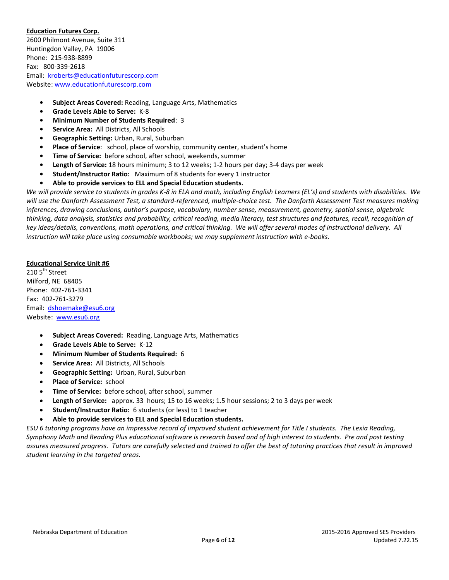## **Education Futures Corp.**

2600 Philmont Avenue, Suite 311 Huntingdon Valley, PA 19006 Phone: 215-938-8899 Fax: 800-339-2618 Email: [kroberts@educationfuturescorp.com](file:///C:/Users/rmcintyre/AppData/Local/Microsoft/Windows/Temporary%20Internet%20Files/Content.Outlook/0BPTWOXE/kroberts@educationfuturescorp.com) Website: [www.educationfuturescorp.com](http://www.educationfuturescorp.com/)

- **• Subject Areas Covered:** Reading, Language Arts, Mathematics
- **• Grade Levels Able to Serve:** K-8
- **• Minimum Number of Students Required**: 3
- **• Service Area:** All Districts, All Schools
- **• Geographic Setting:** Urban, Rural, Suburban
- **• Place of Service**: school, place of worship, community center, student's home
- **• Time of Service:** before school, after school, weekends, summer
- **• Length of Service:** 18 hours minimum; 3 to 12 weeks; 1-2 hours per day; 3-4 days per week
- **• Student/Instructor Ratio:** Maximum of 8 students for every 1 instructor
- **• Able to provide services to ELL and Special Education students.**

*We will provide service to students in grades K-8 in ELA and math, including English Learners (EL's) and students with disabilities. We will use the Danforth Assessment Test, a standard-referenced, multiple-choice test. The Danforth Assessment Test measures making inferences, drawing conclusions, author's purpose, vocabulary, number sense, measurement, geometry, spatial sense, algebraic thinking, data analysis, statistics and probability, critical reading, media literacy, test structures and features, recall, recognition of key ideas/details, conventions, math operations, and critical thinking. We will offer several modes of instructional delivery. All instruction will take place using consumable workbooks; we may supplement instruction with e-books.* 

## **Educational Service Unit #6**

210  $5<sup>th</sup>$  Street Milford, NE 68405 Phone: 402-761-3341 Fax: 402-761-3279 Email: [dshoemake@esu6.org](mailto:dshoemake@esu6.org) Website: [www.esu6.org](http://www.esu6.org/)

- **Subject Areas Covered:** Reading, Language Arts, Mathematics
- **Grade Levels Able to Serve:** K-12
- **Minimum Number of Students Required:** 6
- **Service Area:** All Districts, All Schools
- **Geographic Setting:** Urban, Rural, Suburban
- **Place of Service:** school
- **Time of Service:** before school, after school, summer
- **Length of Service:** approx. 33 hours; 15 to 16 weeks; 1.5 hour sessions; 2 to 3 days per week
- **Student/Instructor Ratio:** 6 students (or less) to 1 teacher
- **Able to provide services to ELL and Special Education students.**

*ESU 6 tutoring programs have an impressive record of improved student achievement for Title I students. The Lexia Reading, Symphony Math and Reading Plus educational software is research based and of high interest to students. Pre and post testing assures measured progress. Tutors are carefully selected and trained to offer the best of tutoring practices that result in improved student learning in the targeted areas.*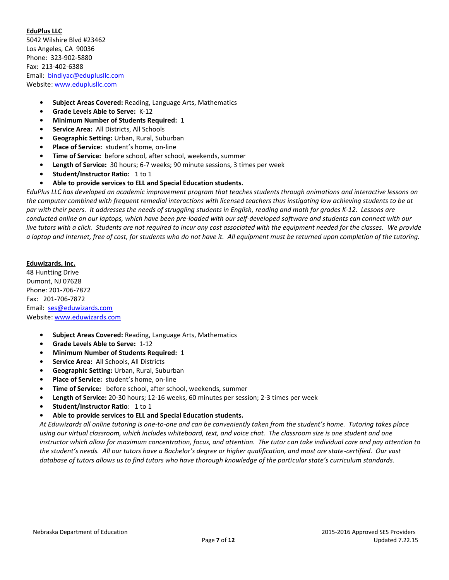# **EduPlus LLC**

5042 Wilshire Blvd #23462 Los Angeles, CA 90036 Phone:323-902-5880 Fax: 213-402-6388 Email:[bindiyac@eduplusllc.com](file:///C:/Users/rmcintyre/AppData/Local/Microsoft/Windows/Temporary%20Internet%20Files/Content.Outlook/0BPTWOXE/bindiyac@eduplusllc.com) Website: [www.eduplusllc.com](http://www.eduplusllc.com/)

- **• Subject Areas Covered:** Reading, Language Arts, Mathematics
- **• Grade Levels Able to Serve:** K-12
- **• Minimum Number of Students Required:** 1
- **• Service Area:** All Districts, All Schools
- **• Geographic Setting:** Urban, Rural, Suburban
- **• Place of Service:** student's home, on-line
- **• Time of Service:** before school, after school, weekends, summer
- **• Length of Service:** 30 hours; 6-7 weeks; 90 minute sessions, 3 times per week
- **• Student/Instructor Ratio:** 1 to 1
- **• Able to provide services to ELL and Special Education students.**

*EduPlus LLC has developed an academic improvement program that teaches students through animations and interactive lessons on the computer combined with frequent remedial interactions with licensed teachers thus instigating low achieving students to be at par with their peers. It addresses the needs of struggling students in English, reading and math for grades K-12. Lessons are conducted online on our laptops, which have been pre-loaded with our self-developed software and students can connect with our*  live tutors with a click. Students are not required to incur any cost associated with the equipment needed for the classes. We provide *a laptop and Internet, free of cost, for students who do not have it. All equipment must be returned upon completion of the tutoring.*

#### **Eduwizards, Inc.**

48 Huntting Drive Dumont, NJ 07628 Phone: 201-706-7872 Fax: 201-706-7872 Email: [ses@eduwizards.com](file:///C:/Users/rmcintyre/AppData/Local/Microsoft/Windows/Temporary%20Internet%20Files/Content.Outlook/0BPTWOXE/ses@eduwizards.com) Website[: www.eduwizards.com](http://www.eduwizards.com/)

- **• Subject Areas Covered:** Reading, Language Arts, Mathematics
- **• Grade Levels Able to Serve:** 1-12
- **• Minimum Number of Students Required:** 1
- **• Service Area:** All Schools, All Districts
- **• Geographic Setting:** Urban, Rural, Suburban
- **• Place of Service:** student's home, on-line
- **Time of Service:** before school, after school, weekends, summer
- **• Length of Service:** 20-30 hours; 12-16 weeks, 60 minutes per session; 2-3 times per week
- **• Student/Instructor Ratio**: 1 to 1
- **• Able to provide services to ELL and Special Education students.**

*At Eduwizards all online tutoring is one-to-one and can be conveniently taken from the student's home. Tutoring takes place using our virtual classroom, which includes whiteboard, text, and voice chat. The classroom size is one student and one instructor which allow for maximum concentration, focus, and attention. The tutor can take individual care and pay attention to the student's needs. All our tutors have a Bachelor's degree or higher qualification, and most are state-certified. Our vast database of tutors allows us to find tutors who have thorough knowledge of the particular state's curriculum standards.*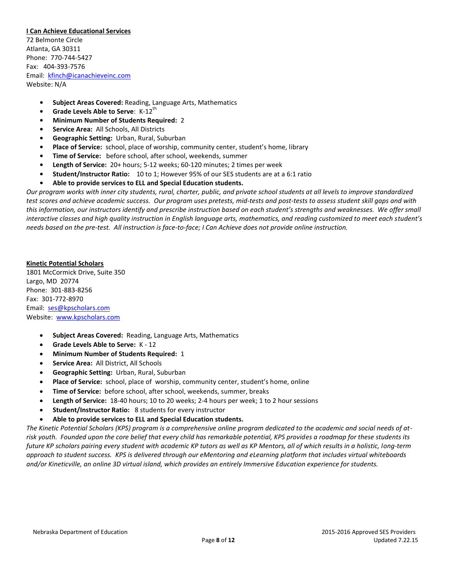#### **I Can Achieve Educational Services**

72 Belmonte Circle Atlanta, GA 30311 Phone: 770-744-5427 Fax: 404-393-7576 Email: [kfinch@icanachieveinc.com](file:///C:/Users/rmcintyre/AppData/Local/Microsoft/Windows/Temporary%20Internet%20Files/Content.Outlook/0BPTWOXE/kfinch@icanachieveinc.com) Website: N/A

- **• Subject Areas Covered:** Reading, Language Arts, Mathematics
- **Grade Levels Able to Serve: K-12<sup>th</sup>**
- **• Minimum Number of Students Required:** 2
- **• Service Area:** All Schools, All Districts
- **• Geographic Setting:** Urban, Rural, Suburban
- **• Place of Service:** school, place of worship, community center, student's home, library
- **Time of Service:** before school, after school, weekends, summer
- **• Length of Service:** 20+ hours; 5-12 weeks; 60-120 minutes; 2 times per week
- **• Student/Instructor Ratio:** 10 to 1; However 95% of our SES students are at a 6:1 ratio
- **• Able to provide services to ELL and Special Education students.**

*Our program works with inner city students, rural, charter, public, and private school students at all levels to improve standardized test scores and achieve academic success. Our program uses pretests, mid-tests and post-tests to assess student skill gaps and with this information, our instructors identify and prescribe instruction based on each student's strengths and weaknesses. We offer small interactive classes and high quality instruction in English language arts, mathematics, and reading customized to meet each student's needs based on the pre-test. All instruction is face-to-face; I Can Achieve does not provide online instruction.*

#### **Kinetic Potential Scholars**

1801 McCormick Drive, Suite 350 Largo, MD 20774 Phone: 301-883-8256 Fax: 301-772-8970 Email: [ses@kpscholars.com](file:///C:/Users/rmcintyre/AppData/Local/Microsoft/Windows/Temporary%20Internet%20Files/Content.Outlook/0BPTWOXE/ses@kpscholars.com) Website: [www.kpscholars.com](http://www.kpscholars.com/)

- **Subject Areas Covered:** Reading, Language Arts, Mathematics
- **Grade Levels Able to Serve:** K 12
- **Minimum Number of Students Required:** 1
- **Service Area:** All District, All Schools
- **Geographic Setting:** Urban, Rural, Suburban
- **Place of Service:** school, place of worship, community center, student's home, online
- **Time of Service:** before school, after school, weekends, summer, breaks
- **Length of Service:** 18-40 hours; 10 to 20 weeks; 2-4 hours per week; 1 to 2 hour sessions
- **Student/Instructor Ratio:** 8 students for every instructor
- **Able to provide services to ELL and Special Education students.**

*The Kinetic Potential Scholars (KPS) program is a comprehensive online program dedicated to the academic and social needs of atrisk youth. Founded upon the core belief that every child has remarkable potential, KPS provides a roadmap for these students its future KP scholars pairing every student with academic KP tutors as well as KP Mentors, all of which results in a holistic, long-term approach to student success. KPS is delivered through our eMentoring and eLearning platform that includes virtual whiteboards and/or Kineticville, an online 3D virtual island, which provides an entirely Immersive Education experience for students.*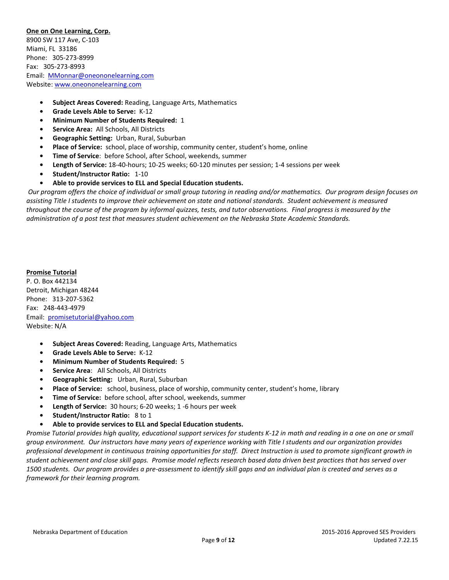## **One on One Learning, Corp.**

8900 SW 117 Ave, C-103 Miami, FL 33186 Phone: 305-273-8999 Fax: 305-273-8993 Email: [MMonnar@oneononelearning.com](file:///C:/Users/rmcintyre/AppData/Local/Microsoft/Windows/Temporary%20Internet%20Files/Content.Outlook/0BPTWOXE/MMonnar@oneononelearning.com) Website[: www.oneononelearning.com](http://www.oneononelearning.com/)

- **• Subject Areas Covered:** Reading, Language Arts, Mathematics
- **• Grade Levels Able to Serve:** K-12
- **• Minimum Number of Students Required:** 1
- **• Service Area:** All Schools, All Districts
- **• Geographic Setting:** Urban, Rural, Suburban
- **• Place of Service:** school, place of worship, community center, student's home, online
- **• Time of Service**: before School, after School, weekends, summer
- **• Length of Service:** 18-40-hours; 10-25 weeks; 60-120 minutes per session; 1-4 sessions per week
- **• Student/Instructor Ratio:** 1-10
- **• Able to provide services to ELL and Special Education students.**

*Our program offers the choice of individual or small group tutoring in reading and/or mathematics. Our program design focuses on assisting Title I students to improve their achievement on state and national standards. Student achievement is measured throughout the course of the program by informal quizzes, tests, and tutor observations. Final progress is measured by the administration of a post test that measures student achievement on the Nebraska State Academic Standards.* 

#### **Promise Tutorial**

P. O. Box 442134 Detroit, Michigan 48244 Phone:313-207-5362 Fax:248-443-4979 Email:[promisetutorial@yahoo.com](file:///C:/Users/rmcintyre/AppData/Local/Microsoft/Windows/Temporary%20Internet%20Files/Content.Outlook/0BPTWOXE/promisetutorial@yahoo.com) Website: N/A

- **• Subject Areas Covered:** Reading, Language Arts, Mathematics
- **• Grade Levels Able to Serve:** K-12
- **• Minimum Number of Students Required:** 5
- **• Service Area**: All Schools, All Districts
- **• Geographic Setting:** Urban, Rural, Suburban
- **• Place of Service:** school, business, place of worship, community center, student's home, library
- **• Time of Service:** before school, after school, weekends, summer
- **• Length of Service:** 30 hours; 6-20 weeks; 1 -6 hours per week
- **• Student/Instructor Ratio:** 8 to 1
- **• Able to provide services to ELL and Special Education students.**

*Promise Tutorial provides high quality, educational support services for students K-12 in math and reading in a one on one or small group environment. Our instructors have many years of experience working with Title I students and our organization provides professional development in continuous training opportunities for staff. Direct Instruction is used to promote significant growth in student achievement and close skill gaps. Promise model reflects research based data driven best practices that has served over 1500 students. Our program provides a pre-assessment to identify skill gaps and an individual plan is created and serves as a framework for their learning program.*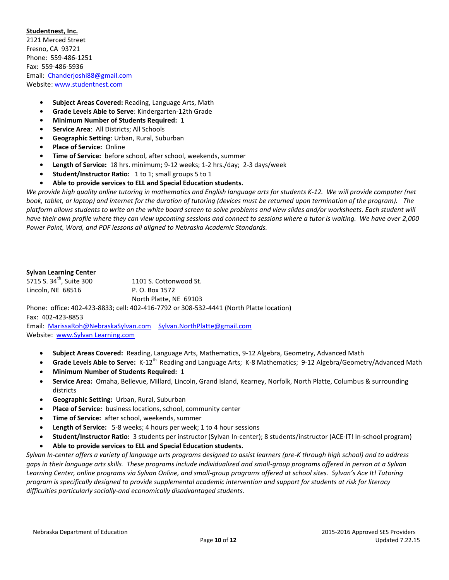# **Studentnest, Inc.**  2121 Merced Street Fresno, CA 93721 Phone: 559-486-1251 Fax: 559-486-5936 Email: [Chanderjoshi88@gmail.com](file:///C:/Users/rmcintyre/AppData/Local/Microsoft/Windows/Temporary%20Internet%20Files/Content.Outlook/0BPTWOXE/Chanderjoshi88@gmail.com) Website[: www.studentnest.com](http://www.studentnest.com/)

- **• Subject Areas Covered:** Reading, Language Arts, Math
- **• Grade Levels Able to Serve**: Kindergarten-12th Grade
- **• Minimum Number of Students Required:** 1
- **• Service Area**: All Districts; All Schools
- **• Geographic Setting**: Urban, Rural, Suburban
- **• Place of Service:** Online
- **• Time of Service:** before school, after school, weekends, summer
- **• Length of Service:** 18 hrs. minimum; 9-12 weeks; 1-2 hrs./day; 2-3 days/week
- **• Student/Instructor Ratio:** 1 to 1; small groups 5 to 1
- **• Able to provide services to ELL and Special Education students.**

*We provide high quality online tutoring in mathematics and English language arts for students K-12. We will provide computer (net book, tablet, or laptop) and internet for the duration of tutoring (devices must be returned upon termination of the program). The platform allows students to write on the white board screen to solve problems and view slides and/or worksheets. Each student will have their own profile where they can view upcoming sessions and connect to sessions where a tutor is waiting. We have over 2,000 Power Point, Word, and PDF lessons all aligned to Nebraska Academic Standards.*

## **Sylvan Learning Center**

5715 S.  $34^{th}$ , Suite 300 1101 S. Cottonwood St. Lincoln, NE 68516 P.O. Box 1572 North Platte, NE 69103 Phone: office: 402-423-8833; cell: 402-416-7792 or 308-532-4441 (North Platte location)

Fax: 402-423-8853

Email: [MarissaRoh@NebraskaSylvan.com](mailto:MarissaRoh@NebraskaSylvan.com) [Sylvan.NorthPlatte@gmail.com](file:///C:/Users/rmcintyre/AppData/Local/Microsoft/Windows/Temporary%20Internet%20Files/Content.Outlook/0BPTWOXE/Sylvan.NorthPlatte@gmail.com) Website: www.Sylvan Learning.com

- **Subject Areas Covered:** Reading, Language Arts, Mathematics, 9-12 Algebra, Geometry, Advanced Math
- Grade Levels Able to Serve: K-12<sup>th</sup> Reading and Language Arts; K-8 Mathematics; 9-12 Algebra/Geometry/Advanced Math
- **Minimum Number of Students Required:** 1
- **Service Area:** Omaha, Bellevue, Millard, Lincoln, Grand Island, Kearney, Norfolk, North Platte, Columbus & surrounding districts
- **Geographic Setting:** Urban, Rural, Suburban
- **Place of Service:** business locations, school, community center
- **Time of Service:** after school, weekends, summer
- **Length of Service:** 5-8 weeks; 4 hours per week; 1 to 4 hour sessions
- **Student/Instructor Ratio:** 3 students per instructor (Sylvan In-center); 8 students/instructor (ACE-IT! In-school program)
- **Able to provide services to ELL and Special Education students.**

*Sylvan In-center offers a variety of language arts programs designed to assist learners (pre-K through high school) and to address gaps in their language arts skills. These programs include individualized and small-group programs offered in person at a Sylvan Learning Center, online programs via Sylvan Online, and small-group programs offered at school sites. Sylvan's Ace It! Tutoring program is specifically designed to provide supplemental academic intervention and support for students at risk for literacy difficulties particularly socially-and economically disadvantaged students.*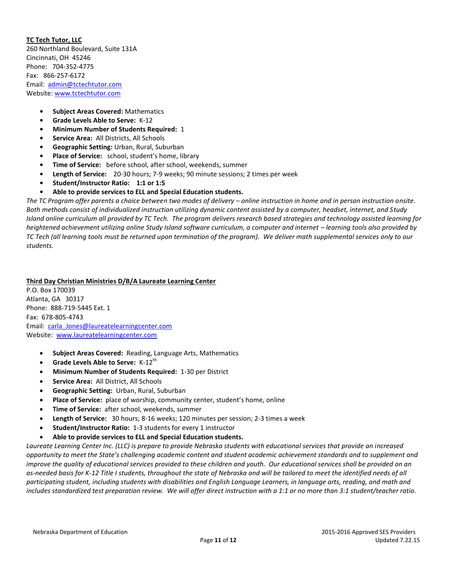# **TC Tech Tutor, LLC**

260 Northland Boulevard, Suite 131A Cincinnati, OH 45246 Phone: 704-352-4775 Fax:866-257-6172 Email:[admin@tctechtutor.com](file:///C:/Users/rmcintyre/AppData/Local/Microsoft/Windows/Temporary%20Internet%20Files/Content.Outlook/0BPTWOXE/admin@tctechtutor.com) Website: [www.tctechtutor.com](file:///C:/Users/rmcintyre/AppData/Local/Microsoft/Windows/Temporary%20Internet%20Files/Content.Outlook/0BPTWOXE/www.tctechtutor.com)

- **• Subject Areas Covered:** Mathematics
- **• Grade Levels Able to Serve:** K-12
- **• Minimum Number of Students Required:** 1
- **• Service Area:** All Districts, All Schools
- **• Geographic Setting:** Urban, Rural, Suburban
- **• Place of Service:** school, student's home, library
- **• Time of Service:** before school, after school, weekends, summer
- **• Length of Service:** 20-30 hours; 7-9 weeks; 90 minute sessions; 2 times per week
- **• Student/Instructor Ratio: 1:1 or 1:5**
- **• Able to provide services to ELL and Special Education students.**

The TC Program offer parents a choice between two modes of delivery – online instruction in home and in person instruction onsite. *Both methods consist of individualized instruction utilizing dynamic content assisted by a computer, headset, internet, and Study Island online curriculum all provided by TC Tech. The program delivers research based strategies and technology assisted learning for heightened achievement utilizing online Study Island software curriculum, a computer and internet – learning tools also provided by TC Tech (all learning tools must be returned upon termination of the program). We deliver math supplemental services only to our students.* 

# **Third Day Christian Ministries D/B/A Laureate Learning Center**

P.O. Box 170039 Atlanta, GA 30317 Phone: 888-719-5445 Ext. 1 Fax: 678-805-4743 Email: [carla\\_Jones@laureatelearningcenter.com](file:///C:/Users/rmcintyre/AppData/Local/Microsoft/Windows/Temporary%20Internet%20Files/Content.Outlook/0BPTWOXE/carla_Jones@laureatelearningcenter.com) Website: [www.laureatelearningcenter.com](file:///C:/Users/rmcintyre/AppData/Local/Microsoft/Windows/Temporary%20Internet%20Files/Content.Outlook/0BPTWOXE/www.laureatelearningcenter.com)

- **Subject Areas Covered:** Reading, Language Arts, Mathematics
- **Grade Levels Able to Serve:** K-12<sup>th</sup>
- **Minimum Number of Students Required:** 1-30 per District
- **Service Area:** All District, All Schools
- **Geographic Setting:** Urban, Rural, Suburban
- **Place of Service:** place of worship, community center, student's home, online
- **Time of Service:** after school, weekends, summer
- **Length of Service:** 30 hours; 8-16 weeks; 120 minutes per session; 2-3 times a week
- **Student/Instructor Ratio:** 1-3 students for every 1 instructor
- **Able to provide services to ELL and Special Education students.**

*Laureate Learning Center Inc. (LLC) is prepare to provide Nebraska students with educational services that provide an increased opportunity to meet the State's challenging academic content and student academic achievement standards and to supplement and improve the quality of educational services provided to these children and youth. Our educational services shall be provided on an as-needed basis for K-12 Title I students, throughout the state of Nebraska and will be tailored to meet the identified needs of all participating student, including students with disabilities and English Language Learners, in language arts, reading, and math and includes standardized test preparation review. We will offer direct instruction with a 1:1 or no more than 3:1 student/teacher ratio.*